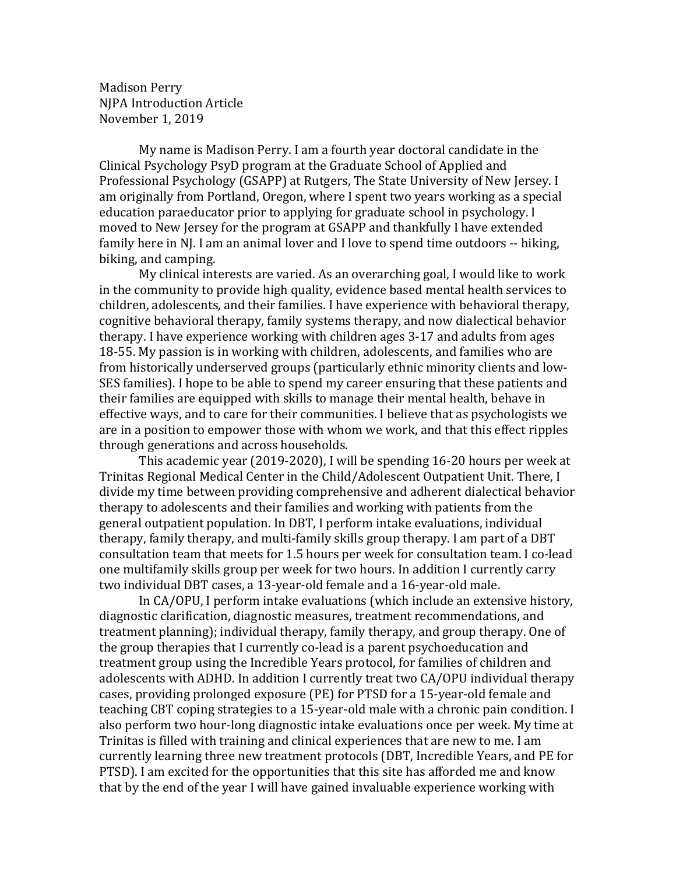Madison Perry NJPA Introduction Article November 1, 2019

My name is Madison Perry. I am a fourth year doctoral candidate in the Clinical Psychology PsyD program at the Graduate School of Applied and Professional Psychology (GSAPP) at Rutgers, The State University of New Jersey. I am originally from Portland, Oregon, where I spent two years working as a special education paraeducator prior to applying for graduate school in psychology. I moved to New Jersey for the program at GSAPP and thankfully I have extended family here in NJ. I am an animal lover and I love to spend time outdoors -- hiking, biking, and camping.

My clinical interests are varied. As an overarching goal, I would like to work in the community to provide high quality, evidence based mental health services to children, adolescents, and their families. I have experience with behavioral therapy, cognitive behavioral therapy, family systems therapy, and now dialectical behavior therapy. I have experience working with children ages 3-17 and adults from ages 18-55. My passion is in working with children, adolescents, and families who are from historically underserved groups (particularly ethnic minority clients and low-SES families). I hope to be able to spend my career ensuring that these patients and their families are equipped with skills to manage their mental health, behave in effective ways, and to care for their communities. I believe that as psychologists we are in a position to empower those with whom we work, and that this effect ripples through generations and across households.

This academic year (2019-2020), I will be spending 16-20 hours per week at Trinitas Regional Medical Center in the Child/Adolescent Outpatient Unit. There, I divide my time between providing comprehensive and adherent dialectical behavior therapy to adolescents and their families and working with patients from the general outpatient population. In DBT, I perform intake evaluations, individual therapy, family therapy, and multi-family skills group therapy. I am part of a DBT consultation team that meets for 1.5 hours per week for consultation team. I co-lead one multifamily skills group per week for two hours. In addition I currently carry two individual DBT cases, a 13-year-old female and a 16-year-old male.

In CA/OPU, I perform intake evaluations (which include an extensive history, diagnostic clarification, diagnostic measures, treatment recommendations, and treatment planning); individual therapy, family therapy, and group therapy. One of the group therapies that I currently co-lead is a parent psychoeducation and treatment group using the Incredible Years protocol, for families of children and adolescents with ADHD. In addition I currently treat two CA/OPU individual therapy cases, providing prolonged exposure (PE) for PTSD for a 15-year-old female and teaching CBT coping strategies to a 15-year-old male with a chronic pain condition. I also perform two hour-long diagnostic intake evaluations once per week. My time at Trinitas is filled with training and clinical experiences that are new to me. I am currently learning three new treatment protocols (DBT, Incredible Years, and PE for PTSD). I am excited for the opportunities that this site has afforded me and know that by the end of the year I will have gained invaluable experience working with